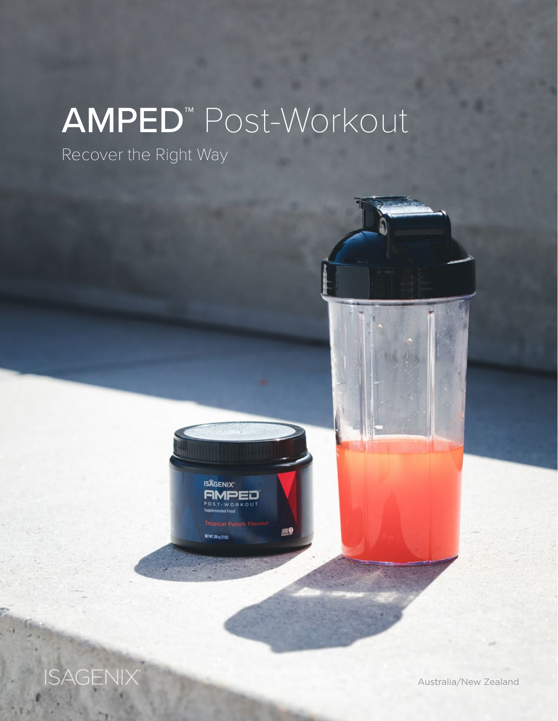# AMPED™ Post-Workout

Recover the Right Way



**ISAGENIX** 

Australia/New Zealand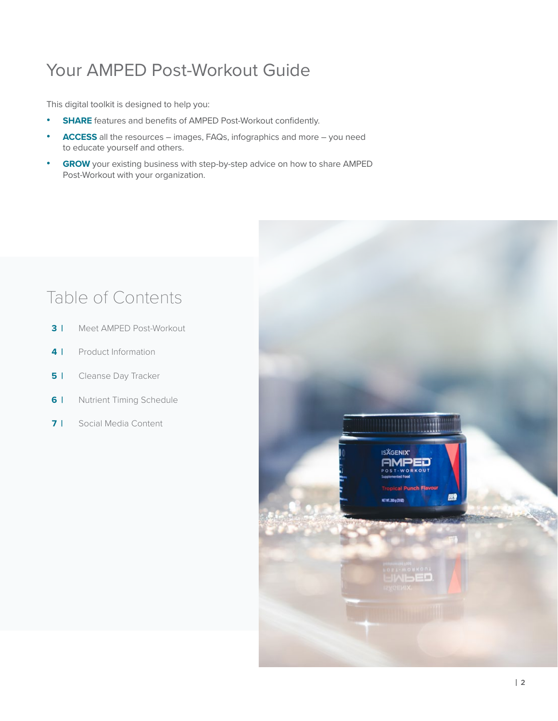### Your AMPED Post-Workout Guide

This digital toolkit is designed to help you:

- **• SHARE** features and benefits of AMPED Post-Workout confidently.
- **• ACCESS** all the resources images, FAQs, infographics and more you need to educate yourself and others.
- **• GROW** your existing business with step-by-step advice on how to share AMPED Post-Workout with your organization.

### Table of Contents

- **3 |** Meet AMPED Post-Workout
- **4 |** Product Information
- **5** | Cleanse Day Tracker
- **6 | Nutrient Timing Schedule**
- **7 |** Social Media Content

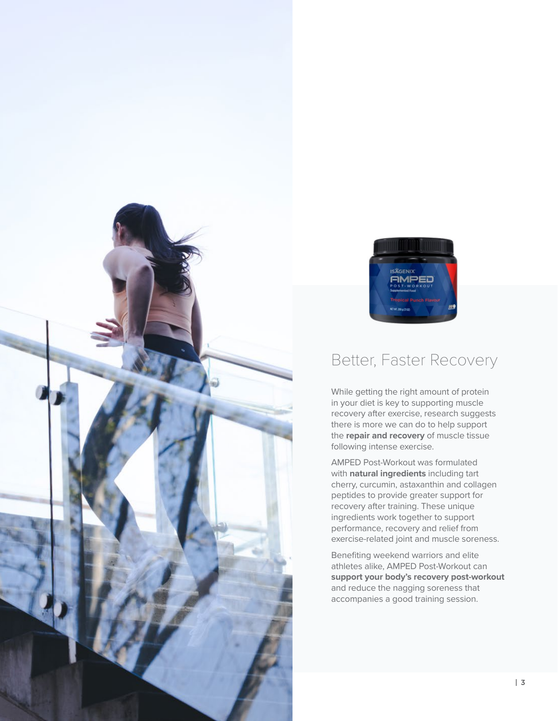



### Better, Faster Recovery

While getting the right amount of protein in your diet is key to supporting muscle recovery after exercise, research suggests there is more we can do to help support the **repair and recovery** of muscle tissue following intense exercise.

AMPED Post-Workout was formulated with **natural ingredients** including tart cherry, curcumin, astaxanthin and collagen peptides to provide greater support for recovery after training. These unique ingredients work together to support performance, recovery and relief from exercise-related joint and muscle soreness.

Benefiting weekend warriors and elite athletes alike, AMPED Post-Workout can **support your body's recovery post-workout**  and reduce the nagging soreness that accompanies a good training session.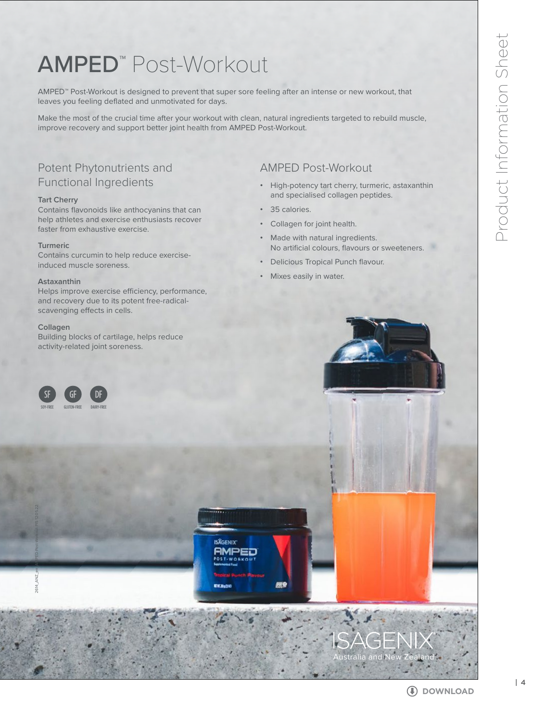## AMPED™ Post-Workout

AMPED™ Post-Workout is designed to prevent that super sore feeling after an intense or new workout, that leaves you feeling deflated and unmotivated for days.

Make the most of the crucial time after your workout with clean, natural ingredients targeted to rebuild muscle, improve recovery and support better joint health from AMPED Post-Workout.

### Potent Phytonutrients and Functional Ingredients

#### **Tart Cherry**

Contains flavonoids like anthocyanins that can help athletes and exercise enthusiasts recover faster from exhaustive exercise.

#### **Turmeric**

Contains curcumin to help reduce exerciseinduced muscle soreness.

#### **Astaxanthin**

Helps improve exercise efficiency, performance, and recovery due to its potent free-radicalscavenging effects in cells.

#### **Collagen**

Building blocks of cartilage, helps reduce activity-related joint soreness.

### AMPED Post-Workout

- **•** High-potency tart cherry, turmeric, astaxanthin and specialised collagen peptides.
- **•** 35 calories.
- **•** Collagen for joint health.
- **•** Made with natural ingredients. No artificial colours, flavours or sweeteners.
- **•** Delicious Tropical Punch flavour.
- **•** Mixes easily in water.

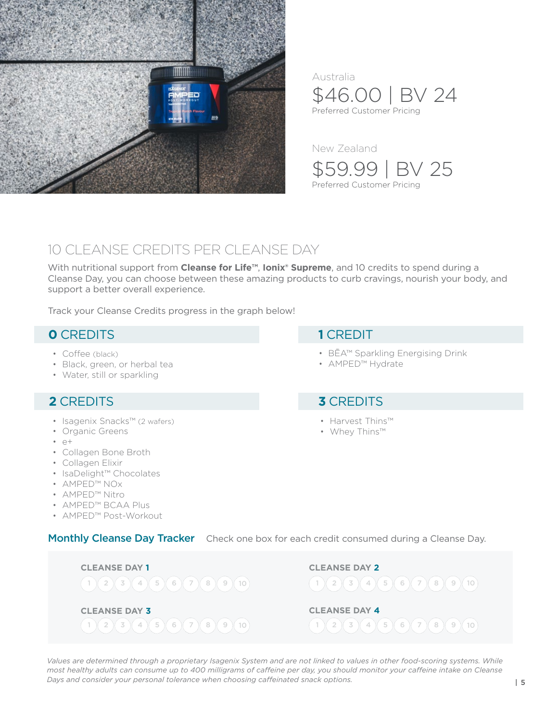

\$46.00 | BV 24 Preferred Customer Pricing Australia

New Zealand

\$59.99 | BV 25 Preferred Customer Pricing

### 10 CLEANSE CREDITS PER CLEANSE DAY

With nutritional support from **Cleanse for Life™**, **Ionix® Supreme**, and 10 credits to spend during a Cleanse Day, you can choose between these amazing products to curb cravings, nourish your body, and support a better overall experience.

Track your Cleanse Credits progress in the graph below!

### **0** CREDITS

- Coffee (black)
- Black, green, or herbal tea
- Water, still or sparkling

### **2** CREDITS

- Isagenix Snacks™ (2 wafers)
- Organic Greens
- $\cdot$  e+
- Collagen Bone Broth
- Collagen Elixir
- IsaDelight™ Chocolates
- AMPED™ NOx
- AMPED™ Nitro
- AMPED™ BCAA Plus
- AMPED™ Post-Workout

Monthly Cleanse Day Tracker Check one box for each credit consumed during a Cleanse Day.



*Values are determined through a proprietary Isagenix System and are not linked to values in other food-scoring systems. While most healthy adults can consume up to 400 milligrams of caffeine per day, you should monitor your caffeine intake on Cleanse Days and consider your personal tolerance when choosing caffeinated snack options.*

### **1** CREDIT

- BĒA™ Sparkling Energising Drink
- AMPED™ Hydrate

### **3** CREDITS

- Harvest Thins™
- Whey Thins™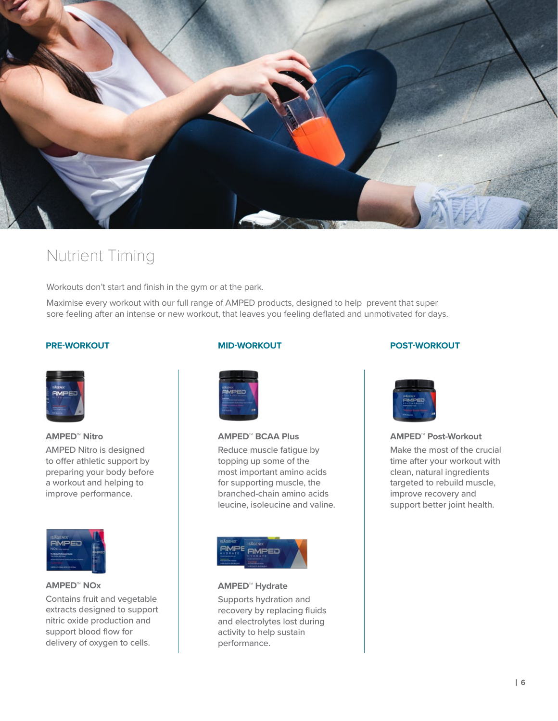

### Nutrient Timing

Workouts don't start and finish in the gym or at the park.

Maximise every workout with our full range of AMPED products, designed to help prevent that super sore feeling after an intense or new workout, that leaves you feeling deflated and unmotivated for days.

#### **PRE-WORKOUT**



**AMPED™ Nitro**  AMPED Nitro is designed to offer athletic support by preparing your body before a workout and helping to improve performance.



### **AMPED™ NOx**

Contains fruit and vegetable extracts designed to support nitric oxide production and support blood flow for delivery of oxygen to cells.

### **MID-WORKOUT**



### **AMPED™ BCAA Plus**

Reduce muscle fatigue by topping up some of the most important amino acids for supporting muscle, the branched-chain amino acids leucine, isoleucine and valine.



**AMPED™ Hydrate** 

Supports hydration and recovery by replacing fluids and electrolytes lost during activity to help sustain performance.

#### **POST-WORKOUT**



#### **AMPED™ Post-Workout**

Make the most of the crucial time after your workout with clean, natural ingredients targeted to rebuild muscle, improve recovery and support better joint health.